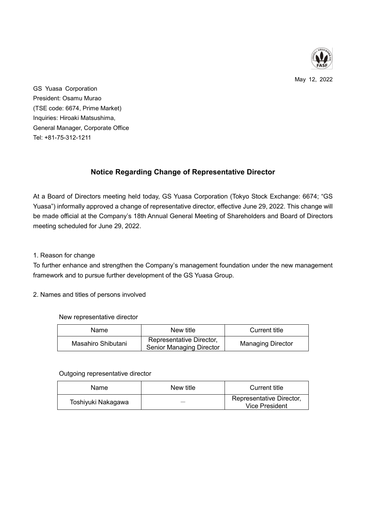

May 12, 2022

GS Yuasa Corporation President: Osamu Murao (TSE code: 6674, Prime Market) Inquiries: Hiroaki Matsushima, General Manager, Corporate Office Tel: +81-75-312-1211

# **Notice Regarding Change of Representative Director**

At a Board of Directors meeting held today, GS Yuasa Corporation (Tokyo Stock Exchange: 6674; "GS Yuasa") informally approved a change of representative director, effective June 29, 2022. This change will be made official at the Company's 18th Annual General Meeting of Shareholders and Board of Directors meeting scheduled for June 29, 2022.

## 1. Reason for change

To further enhance and strengthen the Company's management foundation under the new management framework and to pursue further development of the GS Yuasa Group.

## 2. Names and titles of persons involved

New representative director

| <b>Name</b>        | New title                                                   | Current title            |
|--------------------|-------------------------------------------------------------|--------------------------|
| Masahiro Shibutani | Representative Director,<br><b>Senior Managing Director</b> | <b>Managing Director</b> |

#### Outgoing representative director

| Name               | New title | Current title                                     |
|--------------------|-----------|---------------------------------------------------|
| Toshiyuki Nakagawa |           | Representative Director,<br><b>Vice President</b> |